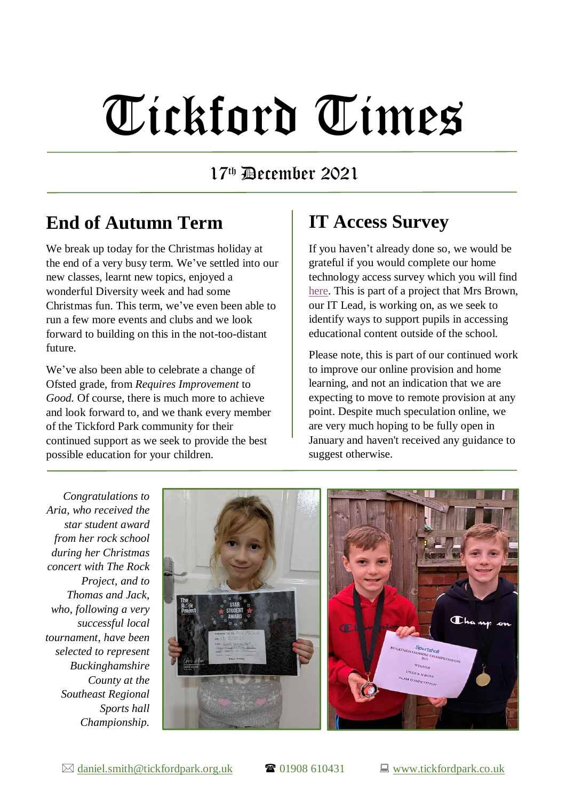# Tickford Times

#### 17 th December 2021

#### **End of Autumn Term**

We break up today for the Christmas holiday at the end of a very busy term. We've settled into our new classes, learnt new topics, enjoyed a wonderful Diversity week and had some Christmas fun. This term, we've even been able to run a few more events and clubs and we look forward to building on this in the not-too-distant future.

We've also been able to celebrate a change of Ofsted grade, from *Requires Improvement* to *Good.* Of course, there is much more to achieve and look forward to, and we thank every member of the Tickford Park community for their continued support as we seek to provide the best possible education for your children.

### **IT Access Survey**

If you haven't already done so, we would be grateful if you would complete our home technology access survey which you will find [here.](https://forms.gle/ApaTF341TwZtGdLc7) This is part of a project that Mrs Brown, our IT Lead, is working on, as we seek to identify ways to support pupils in accessing educational content outside of the school.

Please note, this is part of our continued work to improve our online provision and home learning, and not an indication that we are expecting to move to remote provision at any point. Despite much speculation online, we are very much hoping to be fully open in January and haven't received any guidance to suggest otherwise.

*Congratulations to Aria, who received the star student award from her rock school during her Christmas concert with The Rock Project, and to Thomas and Jack, who, following a very successful local tournament, have been selected to represent Buckinghamshire County at the Southeast Regional Sports hall Championship.*